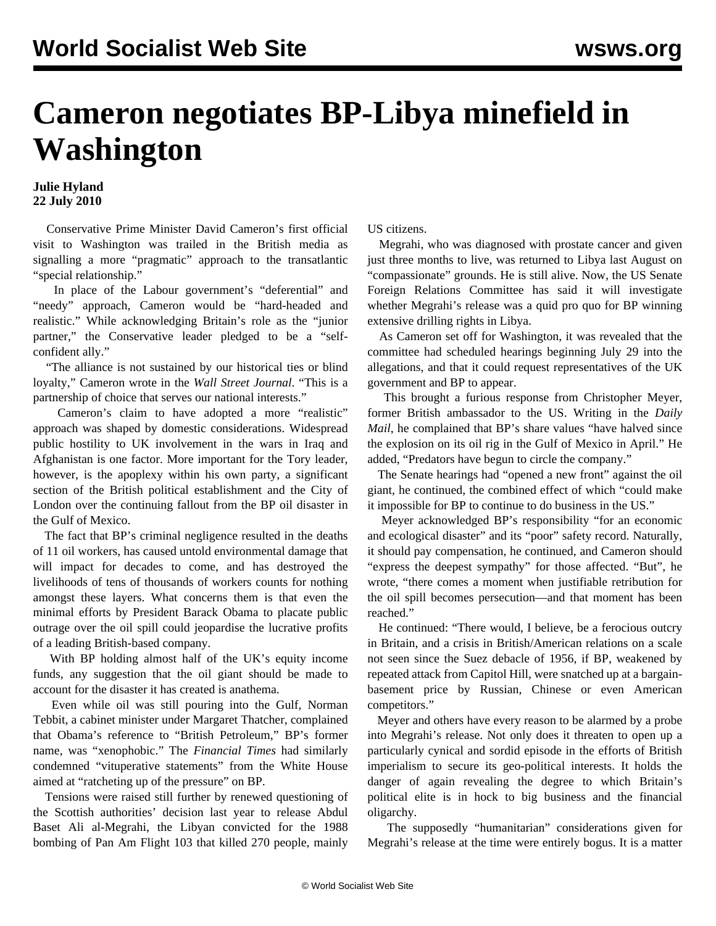## **Cameron negotiates BP-Libya minefield in Washington**

## **Julie Hyland 22 July 2010**

 Conservative Prime Minister David Cameron's first official visit to Washington was trailed in the British media as signalling a more "pragmatic" approach to the transatlantic "special relationship."

 In place of the Labour government's "deferential" and "needy" approach, Cameron would be "hard-headed and realistic." While acknowledging Britain's role as the "junior partner," the Conservative leader pledged to be a "selfconfident ally."

 "The alliance is not sustained by our historical ties or blind loyalty," Cameron wrote in the *Wall Street Journal*. "This is a partnership of choice that serves our national interests."

 Cameron's claim to have adopted a more "realistic" approach was shaped by domestic considerations. Widespread public hostility to UK involvement in the wars in Iraq and Afghanistan is one factor. More important for the Tory leader, however, is the apoplexy within his own party, a significant section of the British political establishment and the City of London over the continuing fallout from the BP oil disaster in the Gulf of Mexico.

 The fact that BP's criminal negligence resulted in the deaths of 11 oil workers, has caused untold environmental damage that will impact for decades to come, and has destroyed the livelihoods of tens of thousands of workers counts for nothing amongst these layers. What concerns them is that even the minimal efforts by President Barack Obama to placate public outrage over the oil spill could jeopardise the lucrative profits of a leading British-based company.

 With BP holding almost half of the UK's equity income funds, any suggestion that the oil giant should be made to account for the disaster it has created is anathema.

 Even while oil was still pouring into the Gulf, Norman Tebbit, a cabinet minister under Margaret Thatcher, complained that Obama's reference to "British Petroleum," BP's former name, was "xenophobic." The *Financial Times* had similarly condemned "vituperative statements" from the White House aimed at "ratcheting up of the pressure" on BP.

 Tensions were raised still further by renewed questioning of the Scottish authorities' decision last year to release Abdul Baset Ali al-Megrahi, the Libyan convicted for the 1988 bombing of Pan Am Flight 103 that killed 270 people, mainly US citizens.

 Megrahi, who was diagnosed with prostate cancer and given just three months to live, was returned to Libya last August on "compassionate" grounds. He is still alive. Now, the US Senate Foreign Relations Committee has said it will investigate whether Megrahi's release was a quid pro quo for BP winning extensive drilling rights in Libya.

 As Cameron set off for Washington, it was revealed that the committee had scheduled hearings beginning July 29 into the allegations, and that it could request representatives of the UK government and BP to appear.

 This brought a furious response from Christopher Meyer, former British ambassador to the US. Writing in the *Daily Mail*, he complained that BP's share values "have halved since the explosion on its oil rig in the Gulf of Mexico in April." He added, "Predators have begun to circle the company."

 The Senate hearings had "opened a new front" against the oil giant, he continued, the combined effect of which "could make it impossible for BP to continue to do business in the US."

 Meyer acknowledged BP's responsibility "for an economic and ecological disaster" and its "poor" safety record. Naturally, it should pay compensation, he continued, and Cameron should "express the deepest sympathy" for those affected. "But", he wrote, "there comes a moment when justifiable retribution for the oil spill becomes persecution—and that moment has been reached."

 He continued: "There would, I believe, be a ferocious outcry in Britain, and a crisis in British/American relations on a scale not seen since the Suez debacle of 1956, if BP, weakened by repeated attack from Capitol Hill, were snatched up at a bargainbasement price by Russian, Chinese or even American competitors."

 Meyer and others have every reason to be alarmed by a probe into Megrahi's release. Not only does it threaten to open up a particularly cynical and sordid episode in the efforts of British imperialism to secure its geo-political interests. It holds the danger of again revealing the degree to which Britain's political elite is in hock to big business and the financial oligarchy.

 The supposedly "humanitarian" considerations given for Megrahi's release at the time were entirely bogus. It is a matter